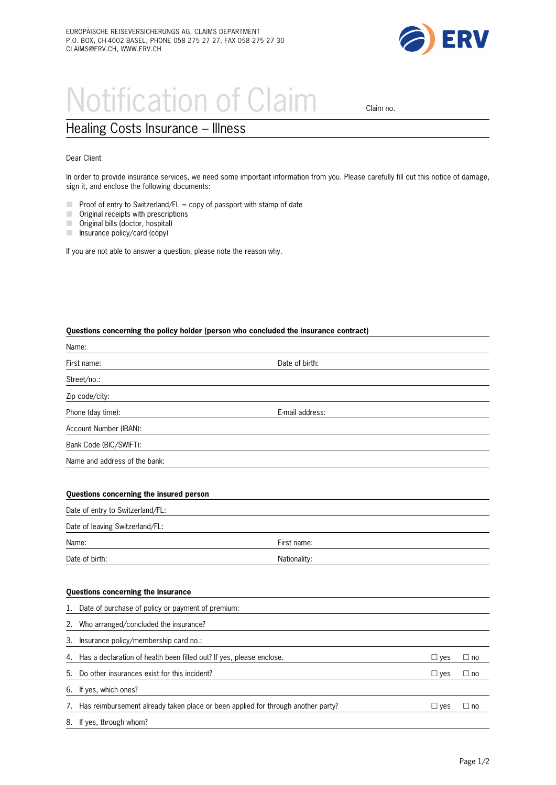

# Notification of Claim claim no.

# Healing Costs Insurance – Illness

## Dear Client

In order to provide insurance services, we need some important information from you. Please carefully fill out this notice of damage, sign it, and enclose the following documents:

- m. Proof of entry to Switzerland/FL = copy of passport with stamp of date
- $\mathcal{L}$ Original receipts with prescriptions
- **COL** Original bills (doctor, hospital)
- $\Box$  Insurance policy/card (copy)

If you are not able to answer a question, please note the reason why.

#### **Questions concerning the policy holder (person who concluded the insurance contract)**

| Name:                                                                                  |                 |               |              |
|----------------------------------------------------------------------------------------|-----------------|---------------|--------------|
| First name:                                                                            | Date of birth:  |               |              |
| Street/no.:                                                                            |                 |               |              |
| Zip code/city:                                                                         |                 |               |              |
| Phone (day time):                                                                      | E-mail address: |               |              |
| Account Number (IBAN):                                                                 |                 |               |              |
| Bank Code (BIC/SWIFT):                                                                 |                 |               |              |
| Name and address of the bank:                                                          |                 |               |              |
|                                                                                        |                 |               |              |
| Questions concerning the insured person                                                |                 |               |              |
| Date of entry to Switzerland/FL:                                                       |                 |               |              |
| Date of leaving Switzerland/FL:                                                        |                 |               |              |
| Name:                                                                                  | First name:     |               |              |
| Date of birth:                                                                         | Nationality:    |               |              |
|                                                                                        |                 |               |              |
| Questions concerning the insurance                                                     |                 |               |              |
| Date of purchase of policy or payment of premium:<br>1.                                |                 |               |              |
| Who arranged/concluded the insurance?<br>2.                                            |                 |               |              |
| Insurance policy/membership card no.:<br>3.                                            |                 |               |              |
| Has a declaration of health been filled out? If yes, please enclose.<br>4.             |                 | $\Box$ yes    | $\square$ no |
| Do other insurances exist for this incident?<br>5.                                     |                 | $\square$ yes | $\square$ no |
| If yes, which ones?<br>6.                                                              |                 |               |              |
| Has reimbursement already taken place or been applied for through another party?<br>7. |                 | $\Box$ yes    | $\square$ no |
| If yes, through whom?<br>8.                                                            |                 |               |              |